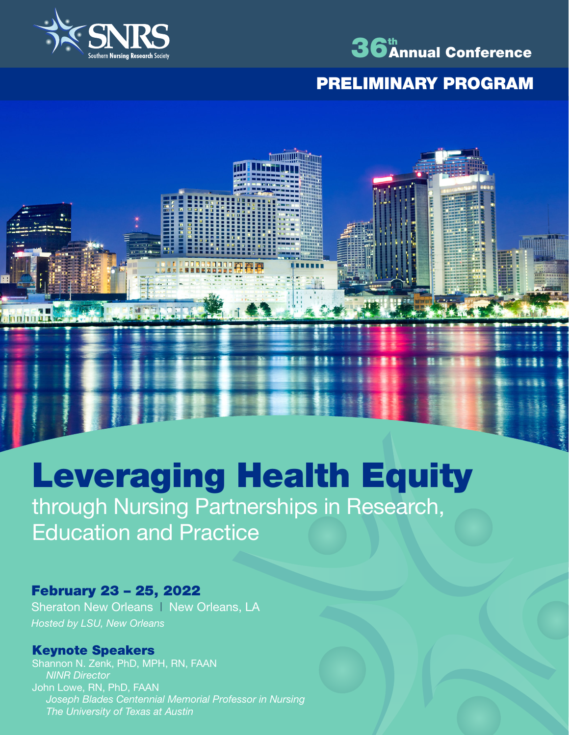

**Annhhall** 



## PRELIMINARY PROGRAM

# Leveraging Health Equity through Nursing Partnerships in Research,

Education and Practice

## February 23 – 25, 2022

Sheraton New Orleans | New Orleans, LA *Hosted by LSU, New Orleans*

## Keynote Speakers

Shannon N. Zenk, PhD, MPH, RN, FAAN *NINR Director* John Lowe, RN, PhD, FAAN *Joseph Blades Centennial Memorial Professor in Nursing The University of Texas at Austin*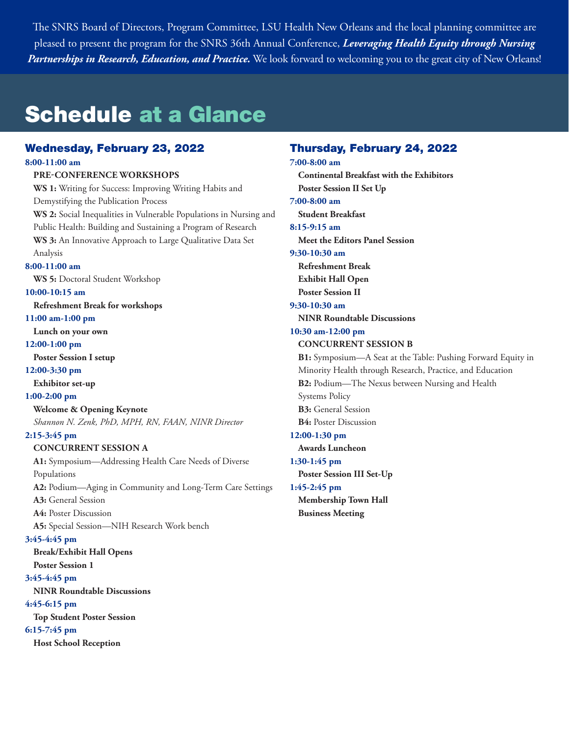The SNRS Board of Directors, Program Committee, LSU Health New Orleans and the local planning committee are pleased to present the program for the SNRS 36th Annual Conference, *Leveraging Health Equity through Nursing Partnerships in Research, Education, and Practice.* We look forward to welcoming you to the great city of New Orleans!

## Schedule at a Glance

#### Wednesday, February 23, 2022

**8:00-11:00 am**

#### **PRE-CONFERENCE WORKSHOPS**

**WS 1:** Writing for Success: Improving Writing Habits and Demystifying the Publication Process **WS 2:** Social Inequalities in Vulnerable Populations in Nursing and Public Health: Building and Sustaining a Program of Research **WS 3:** An Innovative Approach to Large Qualitative Data Set Analysis **8:00-11:00 am WS 5:** Doctoral Student Workshop **10:00-10:15 am Refreshment Break for workshops 11:00 am-1:00 pm Lunch on your own 12:00-1:00 pm Poster Session I setup** 

#### **12:00-3:30 pm**

**Exhibitor set-up**

#### **1:00-2:00 pm**

**Welcome & Opening Keynote**

*Shannon N. Zenk, PhD, MPH, RN, FAAN, NINR Director* 

#### **2:15-3:45 pm**

**CONCURRENT SESSION A A1:** Symposium—Addressing Health Care Needs of Diverse Populations **A2:** Podium—Aging in Community and Long-Term Care Settings **A3:** General Session **A4:** Poster Discussion **A5:** Special Session—NIH Research Work bench **3:45-4:45 pm Break/Exhibit Hall Opens Poster Session 1 3:45-4:45 pm NINR Roundtable Discussions**

## **4:45-6:15 pm**

**Top Student Poster Session** 

#### **6:15-7:45 pm**

**Host School Reception** 

## Thursday, February 24, 2022

**7:00-8:00 am Continental Breakfast with the Exhibitors Poster Session II Set Up 7:00-8:00 am Student Breakfast 8:15-9:15 am Meet the Editors Panel Session 9:30-10:30 am Refreshment Break Exhibit Hall Open Poster Session II 9:30-10:30 am NINR Roundtable Discussions 10:30 am-12:00 pm CONCURRENT SESSION B B1:** Symposium—A Seat at the Table: Pushing Forward Equity in Minority Health through Research, Practice, and Education **B2:** Podium—The Nexus between Nursing and Health Systems Policy **B3:** General Session **B4:** Poster Discussion **12:00-1:30 pm Awards Luncheon 1:30-1:45 pm Poster Session III Set-Up 1:45-2:45 pm Membership Town Hall Business Meeting**